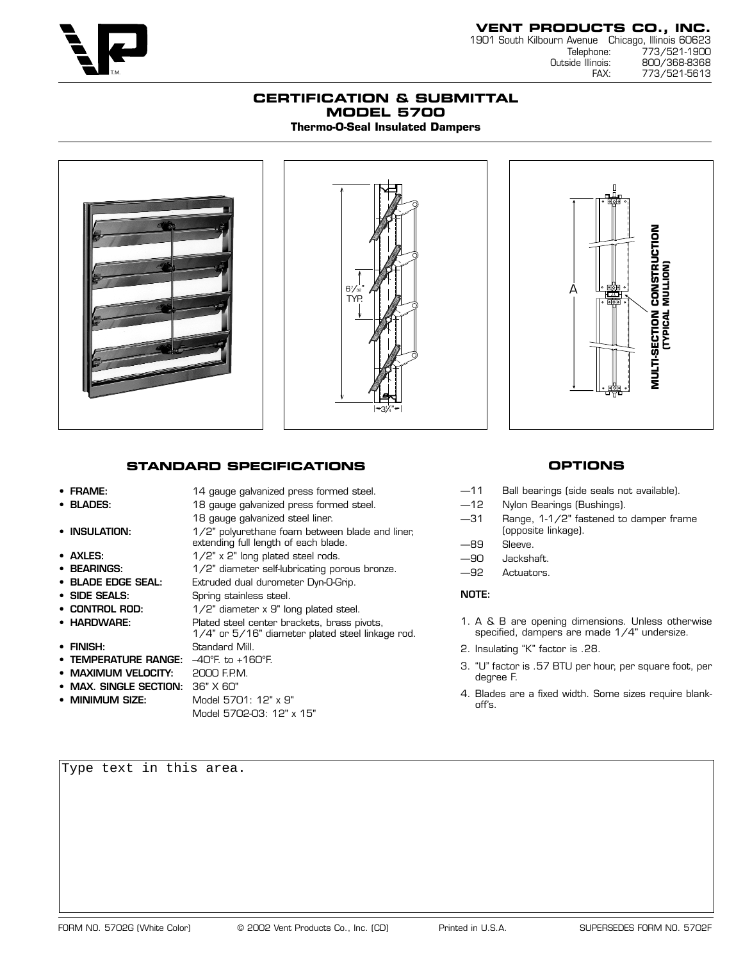

1901 South Kilbourn Avenue Chicago, Illinois 60623 Telephone: 773/521-1900<br>Outside Illinois: 800/368-8368 inois: 800/368-8368<br>FAX: 773/521-5613 773/521-5613

## **CERTIFICATION & SUBMITTAL MODEL 5700 Thermo-O-Seal Insulated Dampers**







# **STANDARD SPECIFICATIONS**

18 gauge galvanized steel liner.

Model 5702-03: 12" x 15"

#### • **FRAME:** 14 gauge galvanized press formed steel.

- **BLADES:** 18 gauge galvanized press formed steel.
- **INSULATION:** 1/2" polyurethane foam between blade and liner,
- 
- 
- 
- 
- 
- 
- 
- **TEMPERATURE RANGE:** –40°F. to +160°F.
- **MAXIMUM VELOCITY:** 2000 F.P.M.
- **MAX. SINGLE SECTION:** 36" X 60"
- 
- extending full length of each blade. • **AXLES:** 1/2" x 2" long plated steel rods. **BEARINGS:** 1/2" diameter self-lubricating porous bronze. • **BLADE EDGE SEAL:** Extruded dual durometer Dyn-O-Grip. **SIDE SEALS:** Spring stainless steel. **CONTROL ROD:** 1/2" diameter x 9" long plated steel. • **HARDWARE:** Plated steel center brackets, brass pivots, 1/4" or 5/16" diameter plated steel linkage rod. • **FINISH:** Standard Mill. Model 5701: 12" x 9"

# **OPTIONS**

- —11 Ball bearings (side seals not available).
- —12 Nylon Bearings (Bushings).
- —31 Range, 1-1/2" fastened to damper frame (opposite linkage).
- —89 Sleeve.
- —90 Jackshaft.
- —92 Actuators.

#### **NOTE:**

- 1. A & B are opening dimensions. Unless otherwise specified, dampers are made 1/4" undersize.
- 2. Insulating "K" factor is .28.
- 3. "U" factor is .57 BTU per hour, per square foot, per degree F.
- 4. Blades are a fixed width. Some sizes require blankoff's.

Type text in this area.